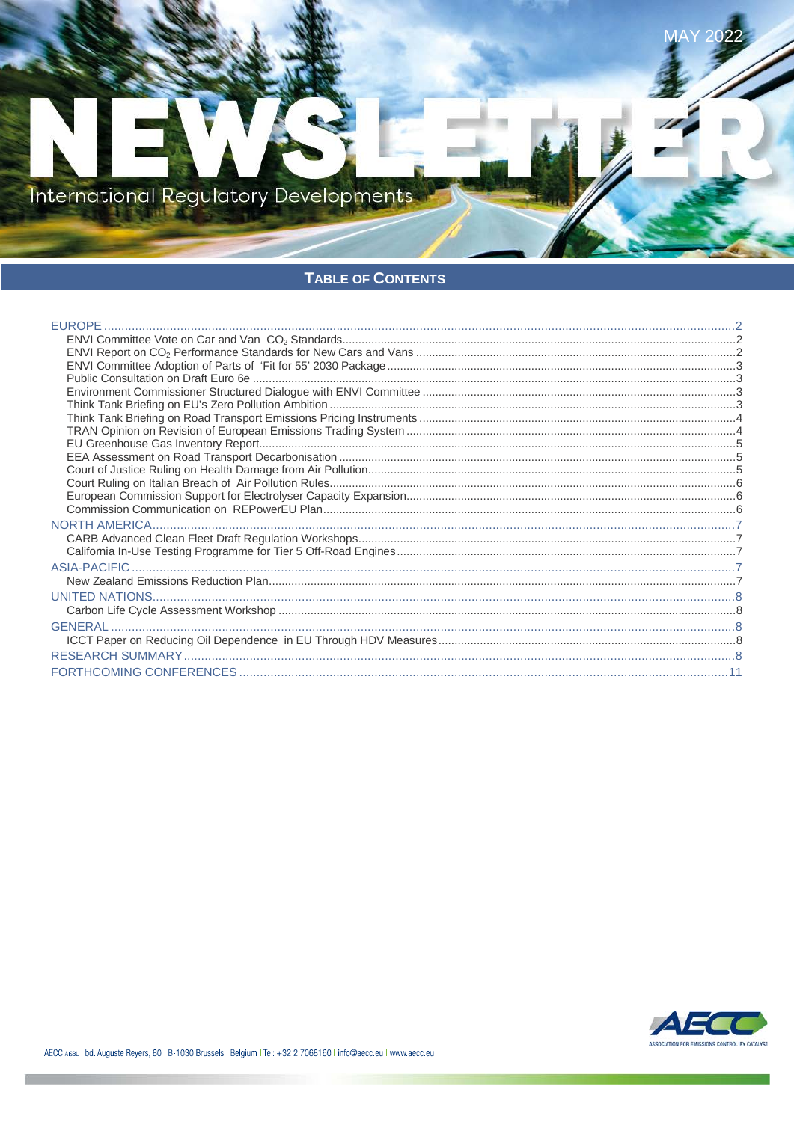

## TABLE OF CONTENTS

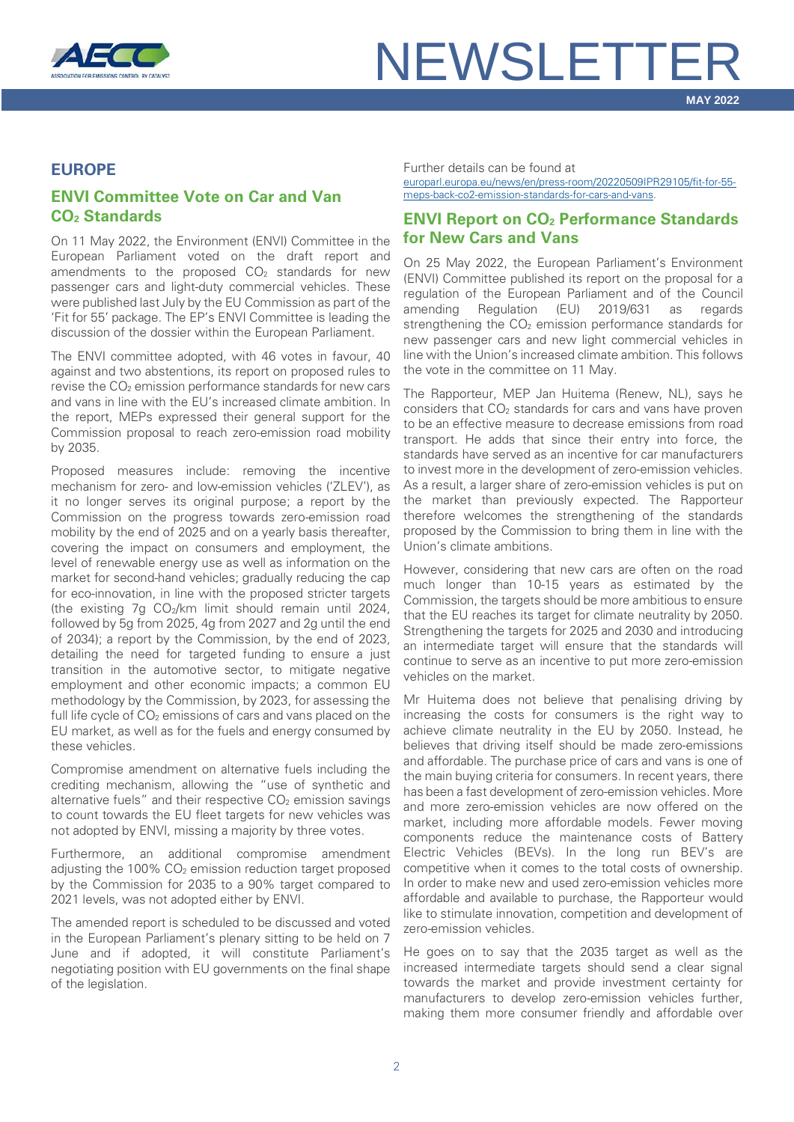

**MAY 2022**

## <span id="page-1-0"></span>**EUROPE**

## <span id="page-1-1"></span>**ENVI Committee Vote on Car and Van CO2 Standards**

On 11 May 2022, the Environment (ENVI) Committee in the European Parliament voted on the draft report and amendments to the proposed  $CO<sub>2</sub>$  standards for new passenger cars and light-duty commercial vehicles. These were published last July by the EU Commission as part of the 'Fit for 55' package. The EP's ENVI Committee is leading the discussion of the dossier within the European Parliament.

The ENVI committee adopted, with 46 votes in favour, 40 against and two abstentions, its report on proposed rules to revise the CO2 emission performance standards for new cars and vans in line with the EU's increased climate ambition. In the report, MEPs expressed their general support for the Commission proposal to reach zero-emission road mobility by 2035.

Proposed measures include: removing the incentive mechanism for zero- and low-emission vehicles ('ZLEV'), as it no longer serves its original purpose; a report by the Commission on the progress towards zero-emission road mobility by the end of 2025 and on a yearly basis thereafter, covering the impact on consumers and employment, the level of renewable energy use as well as information on the market for second-hand vehicles; gradually reducing the cap for eco-innovation, in line with the proposed stricter targets (the existing 7g CO2/km limit should remain until 2024, followed by 5g from 2025, 4g from 2027 and 2g until the end of 2034); a report by the Commission, by the end of 2023, detailing the need for targeted funding to ensure a just transition in the automotive sector, to mitigate negative employment and other economic impacts; a common EU methodology by the Commission, by 2023, for assessing the full life cycle of CO<sub>2</sub> emissions of cars and vans placed on the EU market, as well as for the fuels and energy consumed by these vehicles.

Compromise amendment on alternative fuels including the crediting mechanism, allowing the "use of synthetic and alternative fuels" and their respective  $CO<sub>2</sub>$  emission savings to count towards the EU fleet targets for new vehicles was not adopted by ENVI, missing a majority by three votes.

Furthermore, an additional compromise amendment adjusting the 100% CO<sub>2</sub> emission reduction target proposed by the Commission for 2035 to a 90% target compared to 2021 levels, was not adopted either by ENVI.

The amended report is scheduled to be discussed and voted in the European Parliament's plenary sitting to be held on 7 June and if adopted, it will constitute Parliament's negotiating position with EU governments on the final shape of the legislation.

Further details can be found at [europarl.europa.eu/news/en/press-room/20220509IPR29105/fit-for-55](https://www.europarl.europa.eu/news/en/press-room/20220509IPR29105/fit-for-55-meps-back-co2-emission-standards-for-cars-and-vans) [meps-back-co2-emission-standards-for-cars-and-vans.](https://www.europarl.europa.eu/news/en/press-room/20220509IPR29105/fit-for-55-meps-back-co2-emission-standards-for-cars-and-vans)

## <span id="page-1-2"></span>**ENVI Report on CO2 Performance Standards for New Cars and Vans**

On 25 May 2022, the European Parliament's Environment (ENVI) Committee published its report on the proposal for a regulation of the European Parliament and of the Council amending Regulation (EU) 2019/631 as regards strengthening the  $CO<sub>2</sub>$  emission performance standards for new passenger cars and new light commercial vehicles in line with the Union's increased climate ambition. This follows the vote in the committee on 11 May.

The Rapporteur, MEP Jan Huitema (Renew, NL), says he considers that CO2 standards for cars and vans have proven to be an effective measure to decrease emissions from road transport. He adds that since their entry into force, the standards have served as an incentive for car manufacturers to invest more in the development of zero-emission vehicles. As a result, a larger share of zero-emission vehicles is put on the market than previously expected. The Rapporteur therefore welcomes the strengthening of the standards proposed by the Commission to bring them in line with the Union's climate ambitions.

However, considering that new cars are often on the road much longer than 10-15 years as estimated by the Commission, the targets should be more ambitious to ensure that the EU reaches its target for climate neutrality by 2050. Strengthening the targets for 2025 and 2030 and introducing an intermediate target will ensure that the standards will continue to serve as an incentive to put more zero-emission vehicles on the market.

Mr Huitema does not believe that penalising driving by increasing the costs for consumers is the right way to achieve climate neutrality in the EU by 2050. Instead, he believes that driving itself should be made zero-emissions and affordable. The purchase price of cars and vans is one of the main buying criteria for consumers. In recent years, there has been a fast development of zero-emission vehicles. More and more zero-emission vehicles are now offered on the market, including more affordable models. Fewer moving components reduce the maintenance costs of Battery Electric Vehicles (BEVs). In the long run BEV's are competitive when it comes to the total costs of ownership. In order to make new and used zero-emission vehicles more affordable and available to purchase, the Rapporteur would like to stimulate innovation, competition and development of zero-emission vehicles.

He goes on to say that the 2035 target as well as the increased intermediate targets should send a clear signal towards the market and provide investment certainty for manufacturers to develop zero-emission vehicles further, making them more consumer friendly and affordable over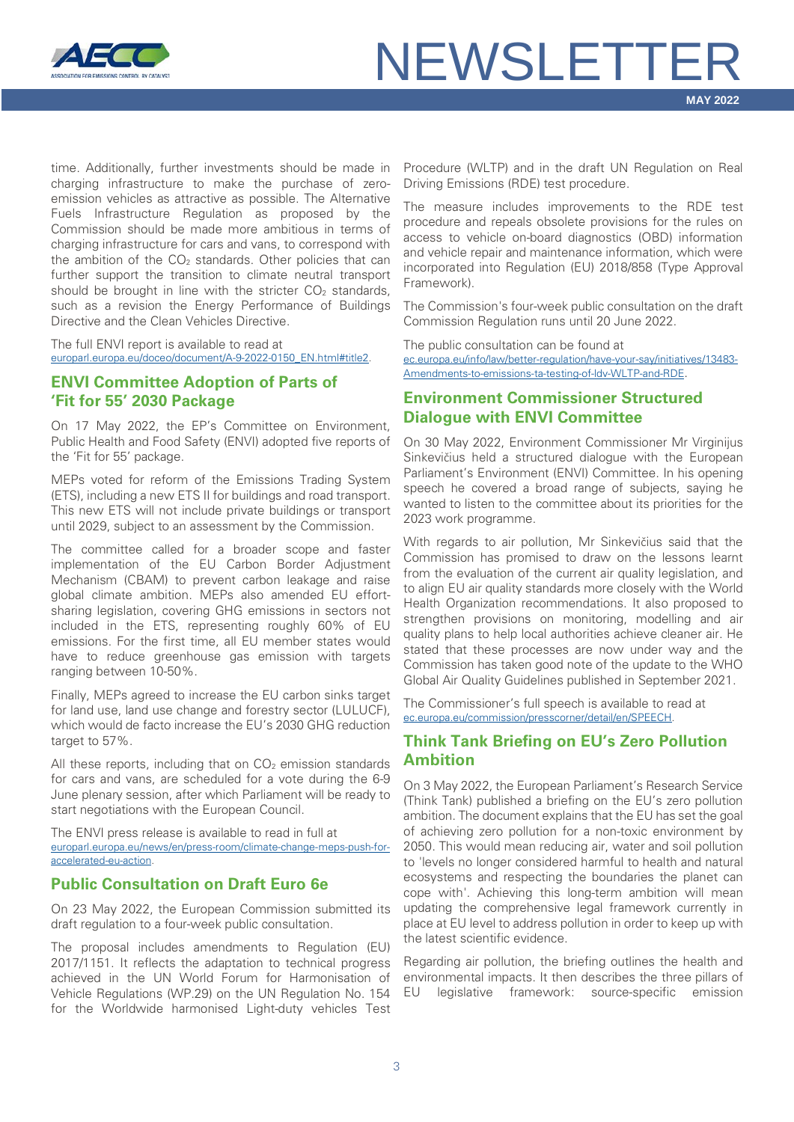

time. Additionally, further investments should be made in charging infrastructure to make the purchase of zeroemission vehicles as attractive as possible. The Alternative Fuels Infrastructure Regulation as proposed by the Commission should be made more ambitious in terms of charging infrastructure for cars and vans, to correspond with the ambition of the  $CO<sub>2</sub>$  standards. Other policies that can further support the transition to climate neutral transport should be brought in line with the stricter  $CO<sub>2</sub>$  standards, such as a revision the Energy Performance of Buildings Directive and the Clean Vehicles Directive.

The full ENVI report is available to read at [europarl.europa.eu/doceo/document/A-9-2022-0150\\_EN.html#title2.](https://www.europarl.europa.eu/doceo/document/A-9-2022-0150_EN.html#title2)

## <span id="page-2-0"></span>**ENVI Committee Adoption of Parts of 'Fit for 55' 2030 Package**

On 17 May 2022, the EP's Committee on Environment, Public Health and Food Safety (ENVI) adopted five reports of the 'Fit for 55' package.

MEPs voted for reform of the Emissions Trading System (ETS), including a new ETS II for buildings and road transport. This new ETS will not include private buildings or transport until 2029, subject to an assessment by the Commission.

The committee called for a broader scope and faster implementation of the EU Carbon Border Adjustment Mechanism (CBAM) to prevent carbon leakage and raise global climate ambition. MEPs also amended EU effortsharing legislation, covering GHG emissions in sectors not included in the ETS, representing roughly 60% of EU emissions. For the first time, all EU member states would have to reduce greenhouse gas emission with targets ranging between 10-50%.

Finally, MEPs agreed to increase the EU carbon sinks target for land use, land use change and forestry sector (LULUCF), which would de facto increase the EU's 2030 GHG reduction target to 57%.

All these reports, including that on  $CO<sub>2</sub>$  emission standards for cars and vans, are scheduled for a vote during the 6-9 June plenary session, after which Parliament will be ready to start negotiations with the European Council.

The ENVI press release is available to read in full at [europarl.europa.eu/news/en/press-room/climate-change-meps-push-for](https://www.europarl.europa.eu/news/en/press-room/20220516IPR29636/climate-change-meps-push-for-accelerated-eu-action-and-energy-independence)[accelerated-eu-action.](https://www.europarl.europa.eu/news/en/press-room/20220516IPR29636/climate-change-meps-push-for-accelerated-eu-action-and-energy-independence)

### <span id="page-2-1"></span>**Public Consultation on Draft Euro 6e**

On 23 May 2022, the European Commission submitted its draft regulation to a four-week public consultation.

The proposal includes amendments to Regulation (EU) 2017/1151. It reflects the adaptation to technical progress achieved in the UN World Forum for Harmonisation of Vehicle Regulations (WP.29) on the UN Regulation No. 154 for the Worldwide harmonised Light-duty vehicles Test

Procedure (WLTP) and in the draft UN Regulation on Real Driving Emissions (RDE) test procedure.

The measure includes improvements to the RDE test procedure and repeals obsolete provisions for the rules on access to vehicle on-board diagnostics (OBD) information and vehicle repair and maintenance information, which were incorporated into Regulation (EU) 2018/858 (Type Approval Framework).

The Commission's four-week public consultation on the draft Commission Regulation runs until 20 June 2022.

The public consultation can be found at [ec.europa.eu/info/law/better-regulation/have-your-say/initiatives/13483-](https://ec.europa.eu/info/law/better-regulation/have-your-say/initiatives/13483-Amendments-to-emissions-type-approval-testing-procedures-of-light-duty-vehicles-WLTP-and-RDE-_en) [Amendments-to-emissions-ta-testing-of-ldv-WLTP-and-RDE.](https://ec.europa.eu/info/law/better-regulation/have-your-say/initiatives/13483-Amendments-to-emissions-type-approval-testing-procedures-of-light-duty-vehicles-WLTP-and-RDE-_en)

### <span id="page-2-2"></span>**Environment Commissioner Structured Dialogue with ENVI Committee**

On 30 May 2022, Environment Commissioner Mr Virginijus Sinkevičius held a structured dialogue with the European Parliament's Environment (ENVI) Committee. In his opening speech he covered a broad range of subjects, saying he wanted to listen to the committee about its priorities for the 2023 work programme.

With regards to air pollution, Mr Sinkevičius said that the Commission has promised to draw on the lessons learnt from the evaluation of the current air quality legislation, and to align EU air quality standards more closely with the World Health Organization recommendations. It also proposed to strengthen provisions on monitoring, modelling and air quality plans to help local authorities achieve cleaner air. He stated that these processes are now under way and the Commission has taken good note of the update to the WHO Global Air Quality Guidelines published in September 2021.

The Commissioner's full speech is available to read at [ec.europa.eu/commission/presscorner/detail/en/SPEECH.](https://ec.europa.eu/commission/presscorner/detail/en/SPEECH_22_3374)

## <span id="page-2-3"></span>**Think Tank Briefing on EU's Zero Pollution Ambition**

On 3 May 2022, the European Parliament's Research Service (Think Tank) published a briefing on the EU's zero pollution ambition. The document explains that the EU has set the goal of achieving zero pollution for a non-toxic environment by 2050. This would mean reducing air, water and soil pollution to 'levels no longer considered harmful to health and natural ecosystems and respecting the boundaries the planet can cope with'. Achieving this long-term ambition will mean updating the comprehensive legal framework currently in place at EU level to address pollution in order to keep up with the latest scientific evidence.

Regarding air pollution, the briefing outlines the health and environmental impacts. It then describes the three pillars of EU legislative framework: source-specific emission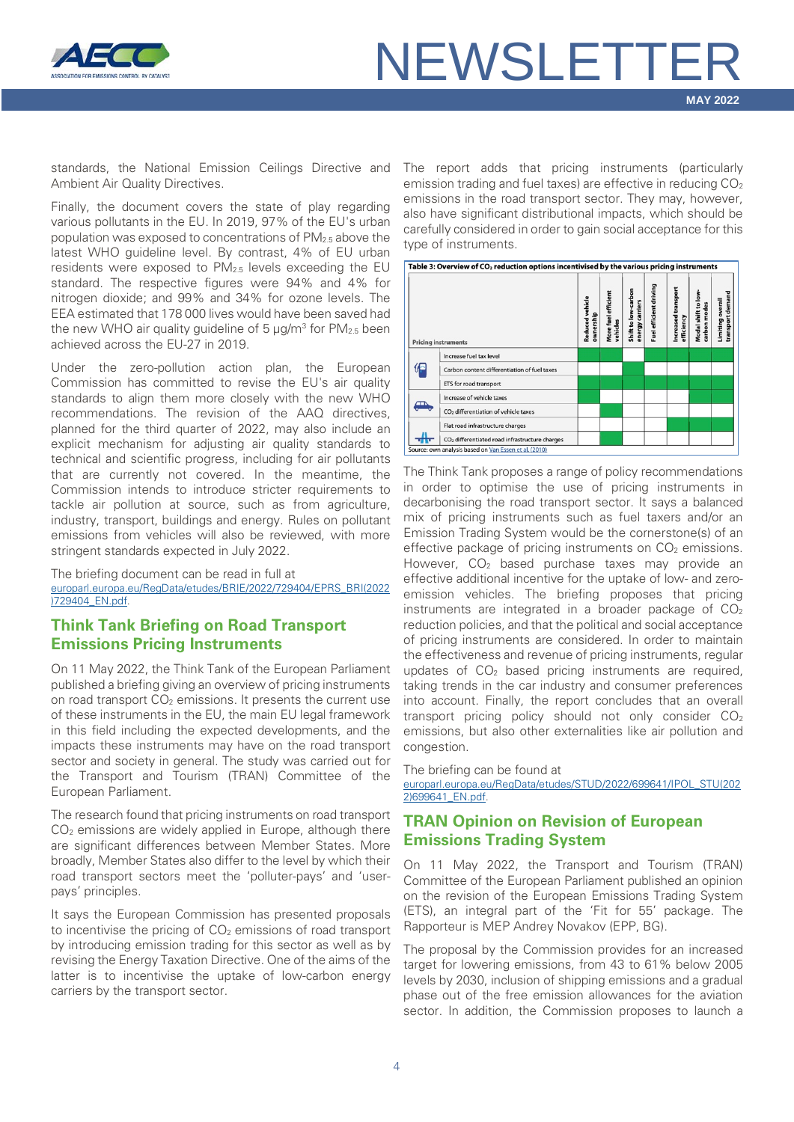

standards, the National Emission Ceilings Directive and Ambient Air Quality Directives.

Finally, the document covers the state of play regarding various pollutants in the EU. In 2019, 97% of the EU's urban population was exposed to concentrations of PM2.5 above the latest WHO guideline level. By contrast, 4% of EU urban residents were exposed to PM2.5 levels exceeding the EU standard. The respective figures were 94% and 4% for nitrogen dioxide; and 99% and 34% for ozone levels. The EEA estimated that 178 000 lives would have been saved had the new WHO air quality guideline of  $5 \mu g/m^3$  for  $PM_{2.5}$  been achieved across the EU-27 in 2019.

Under the zero-pollution action plan, the European Commission has committed to revise the EU's air quality standards to align them more closely with the new WHO recommendations. The revision of the AAQ directives, planned for the third quarter of 2022, may also include an explicit mechanism for adjusting air quality standards to technical and scientific progress, including for air pollutants that are currently not covered. In the meantime, the Commission intends to introduce stricter requirements to tackle air pollution at source, such as from agriculture, industry, transport, buildings and energy. Rules on pollutant emissions from vehicles will also be reviewed, with more stringent standards expected in July 2022.

The briefing document can be read in full at [europarl.europa.eu/RegData/etudes/BRIE/2022/729404/EPRS\\_BRI\(2022](https://www.europarl.europa.eu/RegData/etudes/BRIE/2022/729404/EPRS_BRI(2022)729404_EN.pdf) [\)729404\\_EN.pdf.](https://www.europarl.europa.eu/RegData/etudes/BRIE/2022/729404/EPRS_BRI(2022)729404_EN.pdf)

## <span id="page-3-0"></span>**Think Tank Briefing on Road Transport Emissions Pricing Instruments**

On 11 May 2022, the Think Tank of the European Parliament published a briefing giving an overview of pricing instruments on road transport  $CO<sub>2</sub>$  emissions. It presents the current use of these instruments in the EU, the main EU legal framework in this field including the expected developments, and the impacts these instruments may have on the road transport sector and society in general. The study was carried out for the Transport and Tourism (TRAN) Committee of the European Parliament.

The research found that pricing instruments on road transport  $CO<sub>2</sub>$  emissions are widely applied in Europe, although there are significant differences between Member States. More broadly, Member States also differ to the level by which their road transport sectors meet the 'polluter-pays' and 'userpays' principles.

It says the European Commission has presented proposals to incentivise the pricing of  $CO<sub>2</sub>$  emissions of road transport by introducing emission trading for this sector as well as by revising the Energy Taxation Directive. One of the aims of the latter is to incentivise the uptake of low-carbon energy carriers by the transport sector.

The report adds that pricing instruments (particularly emission trading and fuel taxes) are effective in reducing  $CO<sub>2</sub>$ emissions in the road transport sector. They may, however, also have significant distributional impacts, which should be carefully considered in order to gain social acceptance for this type of instruments.



The Think Tank proposes a range of policy recommendations in order to optimise the use of pricing instruments in decarbonising the road transport sector. It says a balanced mix of pricing instruments such as fuel taxers and/or an Emission Trading System would be the cornerstone(s) of an effective package of pricing instruments on  $CO<sub>2</sub>$  emissions. However,  $CO<sub>2</sub>$  based purchase taxes may provide an effective additional incentive for the uptake of low- and zeroemission vehicles. The briefing proposes that pricing instruments are integrated in a broader package of  $CO<sub>2</sub>$ reduction policies, and that the political and social acceptance of pricing instruments are considered. In order to maintain the effectiveness and revenue of pricing instruments, regular updates of CO<sub>2</sub> based pricing instruments are required, taking trends in the car industry and consumer preferences into account. Finally, the report concludes that an overall transport pricing policy should not only consider  $CO<sub>2</sub>$ emissions, but also other externalities like air pollution and congestion.

The briefing can be found at

[europarl.europa.eu/RegData/etudes/STUD/2022/699641/IPOL\\_STU\(202](https://www.europarl.europa.eu/RegData/etudes/STUD/2022/699641/IPOL_STU(2022)699641_EN.pdf) [2\)699641\\_EN.pdf.](https://www.europarl.europa.eu/RegData/etudes/STUD/2022/699641/IPOL_STU(2022)699641_EN.pdf)

## <span id="page-3-1"></span>**TRAN Opinion on Revision of European Emissions Trading System**

On 11 May 2022, the Transport and Tourism (TRAN) Committee of the European Parliament published an opinion on the revision of the European Emissions Trading System (ETS), an integral part of the 'Fit for 55' package. The Rapporteur is MEP Andrey Novakov (EPP, BG).

The proposal by the Commission provides for an increased target for lowering emissions, from 43 to 61% below 2005 levels by 2030, inclusion of shipping emissions and a gradual phase out of the free emission allowances for the aviation sector. In addition, the Commission proposes to launch a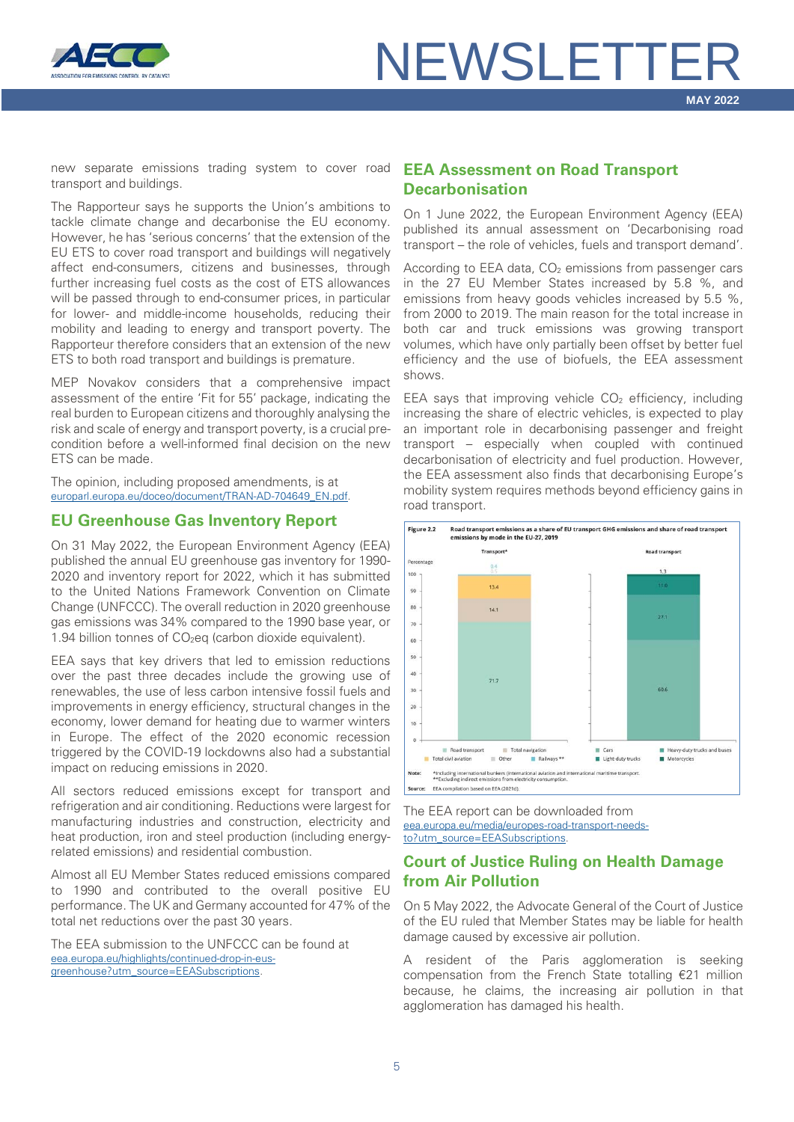

new separate emissions trading system to cover road transport and buildings.

The Rapporteur says he supports the Union's ambitions to tackle climate change and decarbonise the EU economy. However, he has 'serious concerns' that the extension of the EU ETS to cover road transport and buildings will negatively affect end-consumers, citizens and businesses, through further increasing fuel costs as the cost of ETS allowances will be passed through to end-consumer prices, in particular for lower- and middle-income households, reducing their mobility and leading to energy and transport poverty. The Rapporteur therefore considers that an extension of the new ETS to both road transport and buildings is premature.

MEP Novakov considers that a comprehensive impact assessment of the entire 'Fit for 55' package, indicating the real burden to European citizens and thoroughly analysing the risk and scale of energy and transport poverty, is a crucial precondition before a well-informed final decision on the new ETS can be made.

The opinion, including proposed amendments, is at [europarl.europa.eu/doceo/document/TRAN-AD-704649\\_EN.pdf.](https://www.europarl.europa.eu/doceo/document/TRAN-AD-704649_EN.pdf)

## <span id="page-4-0"></span>**EU Greenhouse Gas Inventory Report**

On 31 May 2022, the European Environment Agency (EEA) published the annual EU greenhouse gas inventory for 1990- 2020 and inventory report for 2022, which it has submitted to the United Nations Framework Convention on Climate Change (UNFCCC). The overall reduction in 2020 greenhouse gas emissions was 34% compared to the 1990 base year, or 1.94 billion tonnes of  $CO<sub>2</sub>$ eq (carbon dioxide equivalent).

EEA says that key drivers that led to emission reductions over the past three decades include the growing use of renewables, the use of less carbon intensive fossil fuels and improvements in energy efficiency, structural changes in the economy, lower demand for heating due to warmer winters in Europe. The effect of the 2020 economic recession triggered by the COVID-19 lockdowns also had a substantial impact on reducing emissions in 2020.

All sectors reduced emissions except for transport and refrigeration and air conditioning. Reductions were largest for manufacturing industries and construction, electricity and heat production, iron and steel production (including energyrelated emissions) and residential combustion.

Almost all EU Member States reduced emissions compared to 1990 and contributed to the overall positive EU performance. The UK and Germany accounted for 47% of the total net reductions over the past 30 years.

The EEA submission to the UNFCCC can be found at [eea.europa.eu/highlights/continued-drop-in-eus](https://www.eea.europa.eu/highlights/continued-drop-in-eus-greenhouse?utm_source=EEASubscriptions&utm_medium=RSSFeeds&utm_campaign=Generic)[greenhouse?utm\\_source=EEASubscriptions.](https://www.eea.europa.eu/highlights/continued-drop-in-eus-greenhouse?utm_source=EEASubscriptions&utm_medium=RSSFeeds&utm_campaign=Generic)

### <span id="page-4-1"></span>**EEA Assessment on Road Transport Decarbonisation**

On 1 June 2022, the European Environment Agency (EEA) published its annual assessment on 'Decarbonising road transport – the role of vehicles, fuels and transport demand'.

According to EEA data,  $CO<sub>2</sub>$  emissions from passenger cars in the 27 EU Member States increased by 5.8 %, and emissions from heavy goods vehicles increased by 5.5 %, from 2000 to 2019. The main reason for the total increase in both car and truck emissions was growing transport volumes, which have only partially been offset by better fuel efficiency and the use of biofuels, the EEA assessment shows.

EEA says that improving vehicle  $CO<sub>2</sub>$  efficiency, including increasing the share of electric vehicles, is expected to play an important role in decarbonising passenger and freight transport – especially when coupled with continued decarbonisation of electricity and fuel production. However, the EEA assessment also finds that decarbonising Europe's mobility system requires methods beyond efficiency gains in road transport.



The EEA report can be downloaded from [eea.europa.eu/media/europes-road-transport-needs](https://www.eea.europa.eu/media/europes-road-transport-needs-to?utm_source=EEASubscriptions&utm_medium=RSSFeeds&utm_campaign=Generic)[to?utm\\_source=EEASubscriptions.](https://www.eea.europa.eu/media/europes-road-transport-needs-to?utm_source=EEASubscriptions&utm_medium=RSSFeeds&utm_campaign=Generic)

## <span id="page-4-2"></span>**Court of Justice Ruling on Health Damage from Air Pollution**

On 5 May 2022, the Advocate General of the Court of Justice of the EU ruled that Member States may be liable for health damage caused by excessive air pollution.

A resident of the Paris agglomeration is seeking compensation from the French State totalling €21 million because, he claims, the increasing air pollution in that agglomeration has damaged his health.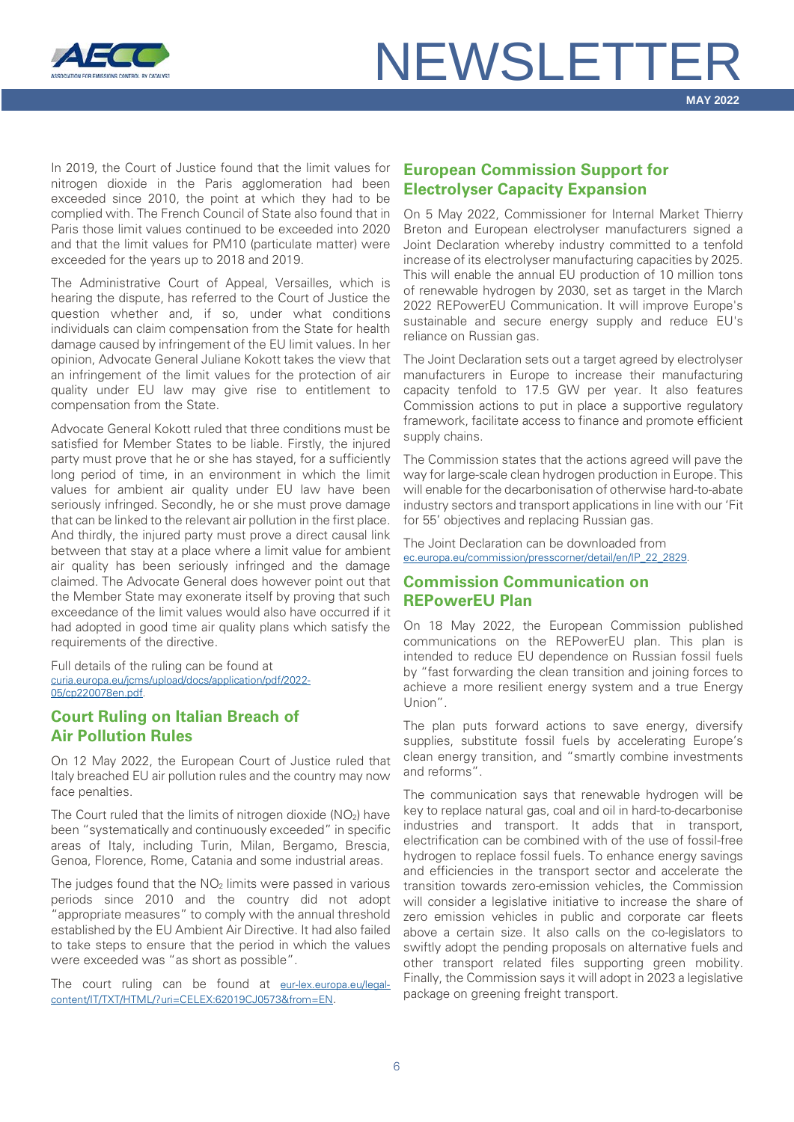

In 2019, the Court of Justice found that the limit values for nitrogen dioxide in the Paris agglomeration had been exceeded since 2010, the point at which they had to be complied with. The French Council of State also found that in Paris those limit values continued to be exceeded into 2020 and that the limit values for PM10 (particulate matter) were exceeded for the years up to 2018 and 2019.

The Administrative Court of Appeal, Versailles, which is hearing the dispute, has referred to the Court of Justice the question whether and, if so, under what conditions individuals can claim compensation from the State for health damage caused by infringement of the EU limit values. In her opinion, Advocate General Juliane Kokott takes the view that an infringement of the limit values for the protection of air quality under EU law may give rise to entitlement to compensation from the State.

Advocate General Kokott ruled that three conditions must be satisfied for Member States to be liable. Firstly, the injured party must prove that he or she has stayed, for a sufficiently long period of time, in an environment in which the limit values for ambient air quality under EU law have been seriously infringed. Secondly, he or she must prove damage that can be linked to the relevant air pollution in the first place. And thirdly, the injured party must prove a direct causal link between that stay at a place where a limit value for ambient air quality has been seriously infringed and the damage claimed. The Advocate General does however point out that the Member State may exonerate itself by proving that such exceedance of the limit values would also have occurred if it had adopted in good time air quality plans which satisfy the requirements of the directive.

Full details of the ruling can be found at [curia.europa.eu/jcms/upload/docs/application/pdf/2022-](https://curia.europa.eu/jcms/upload/docs/application/pdf/2022-05/cp220078en.pdf) [05/cp220078en.pdf.](https://curia.europa.eu/jcms/upload/docs/application/pdf/2022-05/cp220078en.pdf)

## <span id="page-5-0"></span>**Court Ruling on Italian Breach of Air Pollution Rules**

On 12 May 2022, the European Court of Justice ruled that Italy breached EU air pollution rules and the country may now face penalties.

The Court ruled that the limits of nitrogen dioxide  $(NO<sub>2</sub>)$  have been "systematically and continuously exceeded" in specific areas of Italy, including Turin, Milan, Bergamo, Brescia, Genoa, Florence, Rome, Catania and some industrial areas.

The judges found that the  $NO<sub>2</sub>$  limits were passed in various periods since 2010 and the country did not adopt "appropriate measures" to comply with the annual threshold established by the EU Ambient Air Directive. It had also failed to take steps to ensure that the period in which the values were exceeded was "as short as possible".

The court ruling can be found at [eur-lex.europa.eu/legal](https://eur-lex.europa.eu/legal-content/IT/TXT/HTML/?uri=CELEX:62019CJ0573&from=EN)[content/IT/TXT/HTML/?uri=CELEX:62019CJ0573&from=EN.](https://eur-lex.europa.eu/legal-content/IT/TXT/HTML/?uri=CELEX:62019CJ0573&from=EN)

## <span id="page-5-1"></span>**European Commission Support for Electrolyser Capacity Expansion**

On 5 May 2022, Commissioner for Internal Market Thierry Breton and European electrolyser manufacturers signed a Joint Declaration whereby industry committed to a tenfold increase of its electrolyser manufacturing capacities by 2025. This will enable the annual EU production of 10 million tons of renewable hydrogen by 2030, set as target in the March 2022 REPowerEU Communication. It will improve Europe's sustainable and secure energy supply and reduce EU's reliance on Russian gas.

The Joint Declaration sets out a target agreed by electrolyser manufacturers in Europe to increase their manufacturing capacity tenfold to 17.5 GW per year. It also features Commission actions to put in place a supportive regulatory framework, facilitate access to finance and promote efficient supply chains.

The Commission states that the actions agreed will pave the way for large-scale clean hydrogen production in Europe. This will enable for the decarbonisation of otherwise hard-to-abate industry sectors and transport applications in line with our 'Fit for 55' objectives and replacing Russian gas.

The Joint Declaration can be downloaded from [ec.europa.eu/commission/presscorner/detail/en/IP\\_22\\_2829.](https://ec.europa.eu/commission/presscorner/detail/en/IP_22_2829)

### <span id="page-5-2"></span>**Commission Communication on REPowerEU Plan**

On 18 May 2022, the European Commission published communications on the REPowerEU plan. This plan is intended to reduce EU dependence on Russian fossil fuels by "fast forwarding the clean transition and joining forces to achieve a more resilient energy system and a true Energy Union".

The plan puts forward actions to save energy, diversify supplies, substitute fossil fuels by accelerating Europe's clean energy transition, and "smartly combine investments and reforms".

The communication says that renewable hydrogen will be key to replace natural gas, coal and oil in hard-to-decarbonise industries and transport. It adds that in transport, electrification can be combined with of the use of fossil-free hydrogen to replace fossil fuels. To enhance energy savings and efficiencies in the transport sector and accelerate the transition towards zero-emission vehicles, the Commission will consider a legislative initiative to increase the share of zero emission vehicles in public and corporate car fleets above a certain size. It also calls on the co-legislators to swiftly adopt the pending proposals on alternative fuels and other transport related files supporting green mobility. Finally, the Commission says it will adopt in 2023 a legislative package on greening freight transport.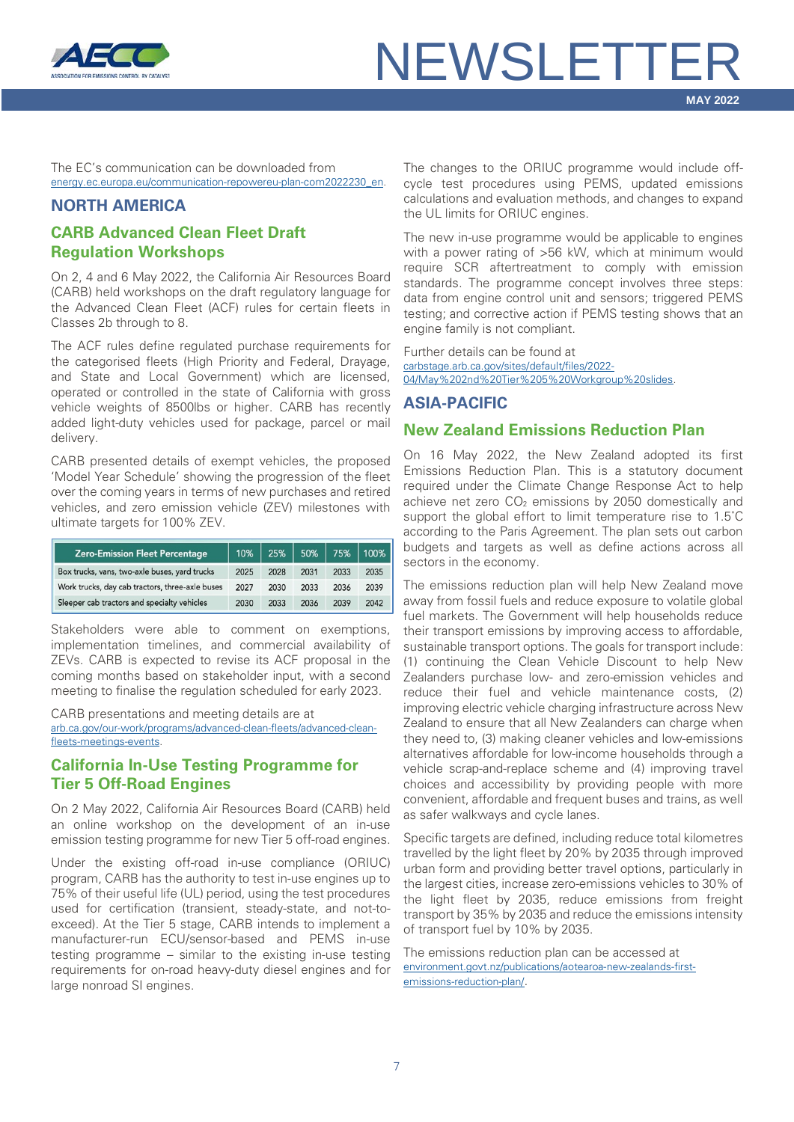

The EC's communication can be downloaded from [energy.ec.europa.eu/communication-repowereu-plan-com2022230\\_en.](https://energy.ec.europa.eu/communication-repowereu-plan-com2022230_en)

### <span id="page-6-0"></span>**NORTH AMERICA**

## <span id="page-6-1"></span>**CARB Advanced Clean Fleet Draft Regulation Workshops**

On 2, 4 and 6 May 2022, the California Air Resources Board (CARB) held workshops on the draft regulatory language for the Advanced Clean Fleet (ACF) rules for certain fleets in Classes 2b through to 8.

The ACF rules define regulated purchase requirements for the categorised fleets (High Priority and Federal, Drayage, and State and Local Government) which are licensed, operated or controlled in the state of California with gross vehicle weights of 8500lbs or higher. CARB has recently added light-duty vehicles used for package, parcel or mail delivery.

CARB presented details of exempt vehicles, the proposed 'Model Year Schedule' showing the progression of the fleet over the coming years in terms of new purchases and retired vehicles, and zero emission vehicle (ZEV) milestones with ultimate targets for 100% ZEV.

| <b>Zero-Emission Fleet Percentage</b>           | 10%  | 25%  | $150\%$ 75% |      | 100% |
|-------------------------------------------------|------|------|-------------|------|------|
| Box trucks, vans, two-axle buses, yard trucks   | 2025 | 2028 | 2031        | 2033 | 2035 |
| Work trucks, day cab tractors, three-axle buses | 2027 | 2030 | 2033        | 2036 | 2039 |
| Sleeper cab tractors and specialty vehicles     | 2030 | 2033 | 2036        | 2039 | 2042 |

Stakeholders were able to comment on exemptions, implementation timelines, and commercial availability of ZEVs. CARB is expected to revise its ACF proposal in the coming months based on stakeholder input, with a second meeting to finalise the regulation scheduled for early 2023.

CARB presentations and meeting details are at [arb.ca.gov/our-work/programs/advanced-clean-fleets/advanced-clean](https://ww2.arb.ca.gov/our-work/programs/advanced-clean-fleets/advanced-clean-fleets-meetings-events)[fleets-meetings-events.](https://ww2.arb.ca.gov/our-work/programs/advanced-clean-fleets/advanced-clean-fleets-meetings-events)

## <span id="page-6-2"></span>**California In-Use Testing Programme for Tier 5 Off-Road Engines**

On 2 May 2022, California Air Resources Board (CARB) held an online workshop on the development of an in-use emission testing programme for new Tier 5 off-road engines.

Under the existing off-road in-use compliance (ORIUC) program, CARB has the authority to test in-use engines up to 75% of their useful life (UL) period, using the test procedures used for certification (transient, steady-state, and not-toexceed). At the Tier 5 stage, CARB intends to implement a manufacturer-run ECU/sensor-based and PEMS in-use testing programme – similar to the existing in-use testing requirements for on-road heavy-duty diesel engines and for large nonroad SI engines.

The changes to the ORIUC programme would include offcycle test procedures using PEMS, updated emissions calculations and evaluation methods, and changes to expand the UL limits for ORIUC engines.

The new in-use programme would be applicable to engines with a power rating of >56 kW, which at minimum would require SCR aftertreatment to comply with emission standards. The programme concept involves three steps: data from engine control unit and sensors; triggered PEMS testing; and corrective action if PEMS testing shows that an engine family is not compliant.

Further details can be found at [carbstage.arb.ca.gov/sites/default/files/2022-](https://carbstage.arb.ca.gov/sites/default/files/2022-04/May%202nd%20Tier%205%20Workgroup%20slides%20041922_cb_ADA_042022_0.pdf) [04/May%202nd%20Tier%205%20Workgroup%20slides.](https://carbstage.arb.ca.gov/sites/default/files/2022-04/May%202nd%20Tier%205%20Workgroup%20slides%20041922_cb_ADA_042022_0.pdf)

## <span id="page-6-3"></span>**ASIA-PACIFIC**

## <span id="page-6-4"></span>**New Zealand Emissions Reduction Plan**

On 16 May 2022, the New Zealand adopted its first Emissions Reduction Plan. This is a statutory document required under the Climate Change Response Act to help achieve net zero CO<sub>2</sub> emissions by 2050 domestically and support the global effort to limit temperature rise to 1.5˚C according to the Paris Agreement. The plan sets out carbon budgets and targets as well as define actions across all sectors in the economy.

The emissions reduction plan will help New Zealand move away from fossil fuels and reduce exposure to volatile global fuel markets. The Government will help households reduce their transport emissions by improving access to affordable, sustainable transport options. The goals for transport include: (1) continuing the Clean Vehicle Discount to help New Zealanders purchase low- and zero-emission vehicles and reduce their fuel and vehicle maintenance costs, (2) improving electric vehicle charging infrastructure across New Zealand to ensure that all New Zealanders can charge when they need to, (3) making cleaner vehicles and low-emissions alternatives affordable for low-income households through a vehicle scrap-and-replace scheme and (4) improving travel choices and accessibility by providing people with more convenient, affordable and frequent buses and trains, as well as safer walkways and cycle lanes.

Specific targets are defined, including reduce total kilometres travelled by the light fleet by 20% by 2035 through improved urban form and providing better travel options, particularly in the largest cities, increase zero-emissions vehicles to 30% of the light fleet by 2035, reduce emissions from freight transport by 35% by 2035 and reduce the emissions intensity of transport fuel by 10% by 2035.

The emissions reduction plan can be accessed at [environment.govt.nz/publications/aotearoa-new-zealands-first](https://environment.govt.nz/publications/aotearoa-new-zealands-first-emissions-reduction-plan/)[emissions-reduction-plan/.](https://environment.govt.nz/publications/aotearoa-new-zealands-first-emissions-reduction-plan/)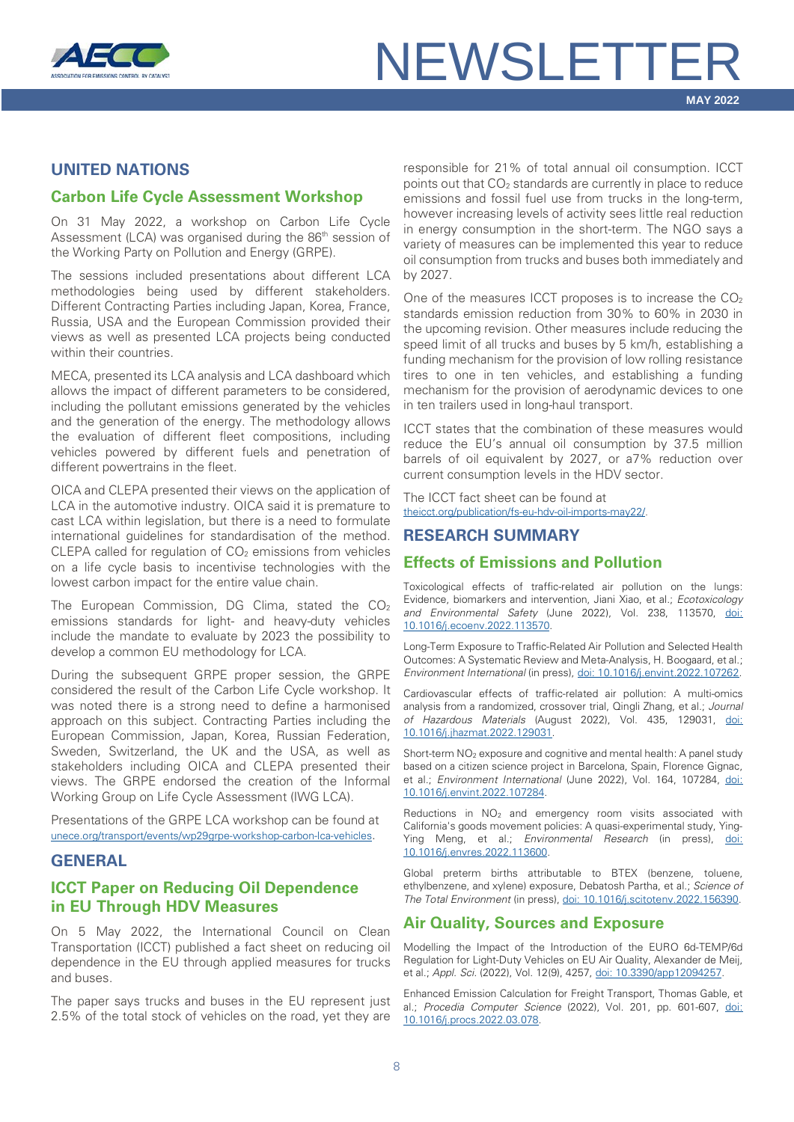

## <span id="page-7-0"></span>**UNITED NATIONS**

### <span id="page-7-1"></span>**Carbon Life Cycle Assessment Workshop**

On 31 May 2022, a workshop on Carbon Life Cycle Assessment (LCA) was organised during the 86<sup>th</sup> session of the Working Party on Pollution and Energy (GRPE).

The sessions included presentations about different LCA methodologies being used by different stakeholders. Different Contracting Parties including Japan, Korea, France, Russia, USA and the European Commission provided their views as well as presented LCA projects being conducted within their countries.

MECA, presented its LCA analysis and LCA dashboard which allows the impact of different parameters to be considered, including the pollutant emissions generated by the vehicles and the generation of the energy. The methodology allows the evaluation of different fleet compositions, including vehicles powered by different fuels and penetration of different powertrains in the fleet.

OICA and CLEPA presented their views on the application of LCA in the automotive industry. OICA said it is premature to cast LCA within legislation, but there is a need to formulate international guidelines for standardisation of the method. CLEPA called for regulation of  $CO<sub>2</sub>$  emissions from vehicles on a life cycle basis to incentivise technologies with the lowest carbon impact for the entire value chain.

The European Commission, DG Clima, stated the CO<sub>2</sub> emissions standards for light- and heavy-duty vehicles include the mandate to evaluate by 2023 the possibility to develop a common EU methodology for LCA.

During the subsequent GRPE proper session, the GRPE considered the result of the Carbon Life Cycle workshop. It was noted there is a strong need to define a harmonised approach on this subject. Contracting Parties including the European Commission, Japan, Korea, Russian Federation, Sweden, Switzerland, the UK and the USA, as well as stakeholders including OICA and CLEPA presented their views. The GRPE endorsed the creation of the Informal Working Group on Life Cycle Assessment (IWG LCA).

Presentations of the GRPE LCA workshop can be found at [unece.org/transport/events/wp29grpe-workshop-carbon-lca-vehicles.](https://unece.org/transport/events/wp29grpe-workshop-carbon-lca-vehicles)

#### <span id="page-7-2"></span>**GENERAL**

### <span id="page-7-3"></span>**ICCT Paper on Reducing Oil Dependence in EU Through HDV Measures**

On 5 May 2022, the International Council on Clean Transportation (ICCT) published a fact sheet on reducing oil dependence in the EU through applied measures for trucks and buses.

The paper says trucks and buses in the EU represent just 2.5% of the total stock of vehicles on the road, yet they are

responsible for 21% of total annual oil consumption. ICCT points out that  $CO<sub>2</sub>$  standards are currently in place to reduce emissions and fossil fuel use from trucks in the long-term, however increasing levels of activity sees little real reduction in energy consumption in the short-term. The NGO says a variety of measures can be implemented this year to reduce oil consumption from trucks and buses both immediately and by 2027.

One of the measures ICCT proposes is to increase the  $CO<sub>2</sub>$ standards emission reduction from 30% to 60% in 2030 in the upcoming revision. Other measures include reducing the speed limit of all trucks and buses by 5 km/h, establishing a funding mechanism for the provision of low rolling resistance tires to one in ten vehicles, and establishing a funding mechanism for the provision of aerodynamic devices to one in ten trailers used in long-haul transport.

ICCT states that the combination of these measures would reduce the EU's annual oil consumption by 37.5 million barrels of oil equivalent by 2027, or a7% reduction over current consumption levels in the HDV sector.

The ICCT fact sheet can be found at [theicct.org/publication/fs-eu-hdv-oil-imports-may22/.](https://theicct.org/publication/fs-eu-hdv-oil-imports-may22/)

### <span id="page-7-4"></span>**RESEARCH SUMMARY**

#### **Effects of Emissions and Pollution**

Toxicological effects of traffic-related air pollution on the lungs: Evidence, biomarkers and intervention, Jiani Xiao, et al.; *Ecotoxicology and Environmental Safety* (June 2022), Vol. 238, 113570, [doi:](https://doi.org/10.1016/j.ecoenv.2022.113570)  [10.1016/j.ecoenv.2022.113570.](https://doi.org/10.1016/j.ecoenv.2022.113570)

Long-Term Exposure to Traffic-Related Air Pollution and Selected Health Outcomes: A Systematic Review and Meta-Analysis, H. Boogaard, et al.; *Environment International* (in press), [doi: 10.1016/j.envint.2022.107262.](https://doi.org/10.1016/j.envint.2022.107262)

Cardiovascular effects of traffic-related air pollution: A multi-omics analysis from a randomized, crossover trial, Qingli Zhang, et al.; *Journal of Hazardous Materials* (August 2022), Vol. 435, 129031, [doi:](https://doi.org/10.1016/j.jhazmat.2022.129031)  [10.1016/j.jhazmat.2022.129031.](https://doi.org/10.1016/j.jhazmat.2022.129031)

Short-term NO<sub>2</sub> exposure and cognitive and mental health: A panel study based on a citizen science project in Barcelona, Spain, Florence Gignac, et al.; *Environment International* (June 2022), Vol. 164, 107284, [doi:](https://doi.org/10.1016/j.envint.2022.107284)  [10.1016/j.envint.2022.107284.](https://doi.org/10.1016/j.envint.2022.107284)

Reductions in NO<sub>2</sub> and emergency room visits associated with California's goods movement policies: A quasi-experimental study, Ying-Ying Meng, et al.; *Environmental Research* (in press), doi: [10.1016/j.envres.2022.113600.](https://doi.org/10.1016/j.envres.2022.113600)

Global preterm births attributable to BTEX (benzene, toluene, ethylbenzene, and xylene) exposure, Debatosh Partha, et al.; *Science of The Total Environment* (in press), [doi: 10.1016/j.scitotenv.2022.156390.](https://doi.org/10.1016/j.scitotenv.2022.156390)

### **Air Quality, Sources and Exposure**

Modelling the Impact of the Introduction of the EURO 6d-TEMP/6d Regulation for Light-Duty Vehicles on EU Air Quality, Alexander de Meij, et al.; *Appl. Sci.* (2022), Vol. 12(9), 4257[, doi: 10.3390/app12094257.](https://doi.org/10.3390/app12094257)

Enhanced Emission Calculation for Freight Transport, Thomas Gable, et al.; *Procedia Computer Science* (2022), Vol. 201, pp. 601-607, [doi:](https://doi.org/10.1016/j.procs.2022.03.078)  [10.1016/j.procs.2022.03.078.](https://doi.org/10.1016/j.procs.2022.03.078)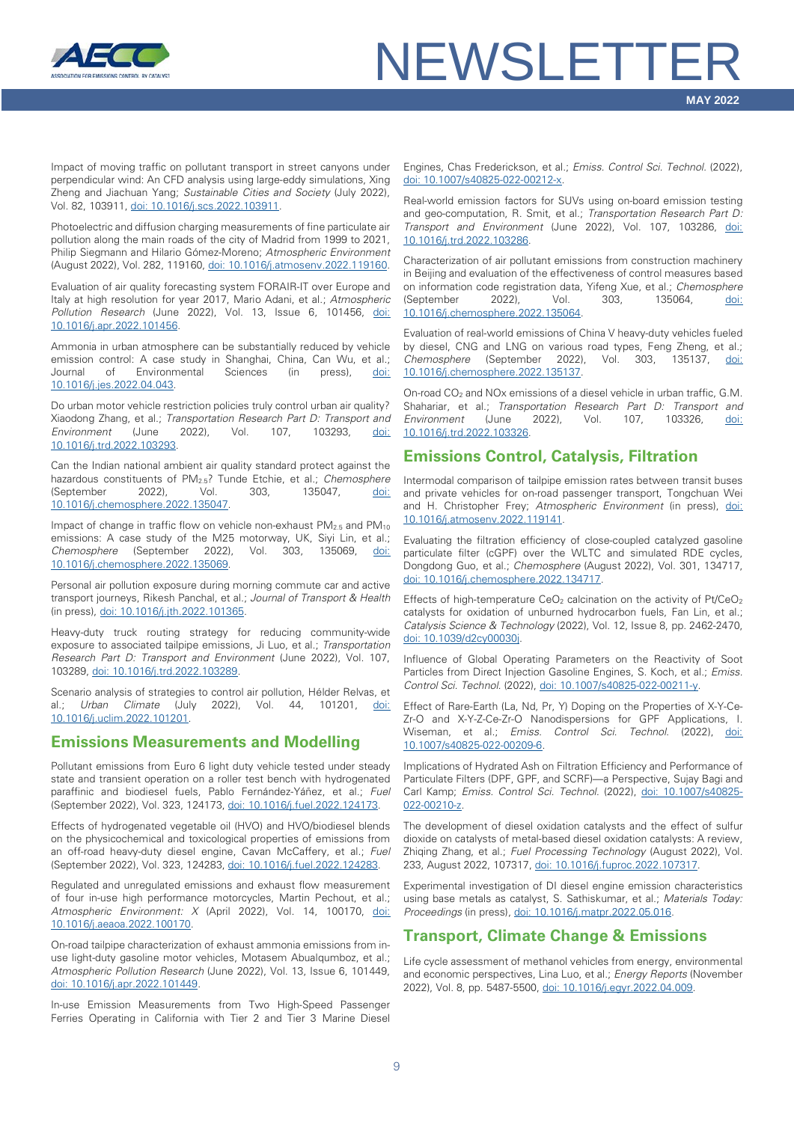

Impact of moving traffic on pollutant transport in street canyons under perpendicular wind: An CFD analysis using large-eddy simulations, Xing Zheng and Jiachuan Yang; *Sustainable Cities and Society* (July 2022), Vol. 82, 103911, [doi: 10.1016/j.scs.2022.103911.](https://doi.org/10.1016/j.scs.2022.103911)

Photoelectric and diffusion charging measurements of fine particulate air pollution along the main roads of the city of Madrid from 1999 to 2021, Philip Siegmann and Hilario Gómez-Moreno; *Atmospheric Environment* (August 2022), Vol. 282, 119160[, doi: 10.1016/j.atmosenv.2022.119160.](https://doi.org/10.1016/j.atmosenv.2022.119160)

Evaluation of air quality forecasting system FORAIR-IT over Europe and Italy at high resolution for year 2017, Mario Adani, et al.; *Atmospheric Pollution Research* (June 2022), Vol. 13, Issue 6, 101456, [doi:](https://doi.org/10.1016/j.apr.2022.101456)  [10.1016/j.apr.2022.101456.](https://doi.org/10.1016/j.apr.2022.101456)

Ammonia in urban atmosphere can be substantially reduced by vehicle emission control: A case study in Shanghai, China, Can Wu, et al.;<br>Journal of Environmental Sciences (in nress) doi: Journal of Environmental Sciences (in press), [doi:](https://doi.org/10.1016/j.jes.2022.04.043)  [10.1016/j.jes.2022.04.043.](https://doi.org/10.1016/j.jes.2022.04.043)

Do urban motor vehicle restriction policies truly control urban air quality? Xiaodong Zhang, et al.; *Transportation Research Part D: Transport and Environment* (June 2022), Vol. 107, 103293, [doi:](https://doi.org/10.1016/j.trd.2022.103293)  [10.1016/j.trd.2022.103293.](https://doi.org/10.1016/j.trd.2022.103293)

Can the Indian national ambient air quality standard protect against the hazardous constituents of PM2.5? Tunde Etchie, et al.; *Chemosphere* (September 2022), Vol. 303, 135047, [doi:](https://doi.org/10.1016/j.chemosphere.2022.135047)  [10.1016/j.chemosphere.2022.135047.](https://doi.org/10.1016/j.chemosphere.2022.135047)

Impact of change in traffic flow on vehicle non-exhaust PM<sub>2.5</sub> and PM<sub>10</sub> emissions: A case study of the M25 motorway, UK, Siyi Lin, et al.; *Chemosphere* (September 2022), Vol. 303, 135069, [doi:](https://doi.org/10.1016/j.chemosphere.2022.135069)  [10.1016/j.chemosphere.2022.135069.](https://doi.org/10.1016/j.chemosphere.2022.135069)

Personal air pollution exposure during morning commute car and active transport journeys, Rikesh Panchal, et al.; *Journal of Transport & Health* (in press), [doi: 10.1016/j.jth.2022.101365.](https://doi.org/10.1016/j.jth.2022.101365)

Heavy-duty truck routing strategy for reducing community-wide exposure to associated tailpipe emissions, Ji Luo, et al.; *Transportation Research Part D: Transport and Environment* (June 2022), Vol. 107, 103289[, doi: 10.1016/j.trd.2022.103289.](https://doi.org/10.1016/j.trd.2022.103289)

Scenario analysis of strategies to control air pollution, Hélder Relvas, et al.; *Urban Climate* (July 2022), Vol. 44, 101201, [doi:](https://doi.org/10.1016/j.uclim.2022.101201)  [10.1016/j.uclim.2022.101201.](https://doi.org/10.1016/j.uclim.2022.101201)

#### **Emissions Measurements and Modelling**

Pollutant emissions from Euro 6 light duty vehicle tested under steady state and transient operation on a roller test bench with hydrogenated paraffinic and biodiesel fuels, Pablo Fernández-Yáñez, et al.; *Fuel* (September 2022), Vol. 323, 124173, [doi: 10.1016/j.fuel.2022.124173.](https://doi.org/10.1016/j.fuel.2022.124173)

Effects of hydrogenated vegetable oil (HVO) and HVO/biodiesel blends on the physicochemical and toxicological properties of emissions from an off-road heavy-duty diesel engine, Cavan McCaffery, et al.; *Fuel* (September 2022), Vol. 323, 124283, [doi: 10.1016/j.fuel.2022.124283.](https://doi.org/10.1016/j.fuel.2022.124283)

Regulated and unregulated emissions and exhaust flow measurement of four in-use high performance motorcycles, Martin Pechout, et al.; *Atmospheric Environment: X* (April 2022), Vol. 14, 100170, [doi:](https://doi.org/10.1016/j.aeaoa.2022.100170)  [10.1016/j.aeaoa.2022.100170.](https://doi.org/10.1016/j.aeaoa.2022.100170)

On-road tailpipe characterization of exhaust ammonia emissions from inuse light-duty gasoline motor vehicles, Motasem Abualqumboz, et al.; *Atmospheric Pollution Research* (June 2022), Vol. 13, Issue 6, 101449, [doi: 10.1016/j.apr.2022.101449.](https://doi.org/10.1016/j.apr.2022.101449)

In-use Emission Measurements from Two High-Speed Passenger Ferries Operating in California with Tier 2 and Tier 3 Marine Diesel Engines, Chas Frederickson, et al.; *Emiss. Control Sci. Technol.* (2022), [doi: 10.1007/s40825-022-00212-x.](https://doi.org/10.1007/s40825-022-00212-x)

Real-world emission factors for SUVs using on-board emission testing and geo-computation, R. Smit, et al.; *Transportation Research Part D: Transport and Environment* (June 2022), Vol. 107, 103286, [doi:](https://doi.org/10.1016/j.trd.2022.103286)  [10.1016/j.trd.2022.103286.](https://doi.org/10.1016/j.trd.2022.103286)

Characterization of air pollutant emissions from construction machinery in Beijing and evaluation of the effectiveness of control measures based on information code registration data, Yifeng Xue, et al.; *Chemosphere* (September 2022), Vol. 303, 135064, [doi:](https://doi.org/10.1016/j.chemosphere.2022.135064)  [10.1016/j.chemosphere.2022.135064.](https://doi.org/10.1016/j.chemosphere.2022.135064)

Evaluation of real-world emissions of China V heavy-duty vehicles fueled by diesel, CNG and LNG on various road types, Feng Zheng, et al.;<br>Chemosphere (September 2022), Vol. 303, 135137, doi: *Chemosphere* (September 2022), Vol. 303, 135137, [doi:](https://doi.org/10.1016/j.chemosphere.2022.135137)  [10.1016/j.chemosphere.2022.135137.](https://doi.org/10.1016/j.chemosphere.2022.135137)

On-road  $CO<sub>2</sub>$  and NOx emissions of a diesel vehicle in urban traffic, G.M. Shahariar, et al.; *Transportation Research Part D: Transport and Environment* (June 2022), Vol. 107, 103326, [doi:](https://doi.org/10.1016/j.trd.2022.103326)  [10.1016/j.trd.2022.103326.](https://doi.org/10.1016/j.trd.2022.103326)

#### **Emissions Control, Catalysis, Filtration**

Intermodal comparison of tailpipe emission rates between transit buses and private vehicles for on-road passenger transport, Tongchuan Wei and H. Christopher Frey; *Atmospheric Environment* (in press), [doi:](https://doi.org/10.1016/j.atmosenv.2022.119141)  [10.1016/j.atmosenv.2022.119141.](https://doi.org/10.1016/j.atmosenv.2022.119141)

Evaluating the filtration efficiency of close-coupled catalyzed gasoline particulate filter (cGPF) over the WLTC and simulated RDE cycles, Dongdong Guo, et al.; *Chemosphere* (August 2022), Vol. 301, 134717, [doi: 10.1016/j.chemosphere.2022.134717.](https://doi.org/10.1016/j.chemosphere.2022.134717)

Effects of high-temperature CeO<sub>2</sub> calcination on the activity of Pt/CeO<sub>2</sub> catalysts for oxidation of unburned hydrocarbon fuels, Fan Lin, et al.; *Catalysis Science & Technology* (2022), Vol. 12, Issue 8, pp. 2462-2470, [doi: 10.1039/d2cy00030j.](https://doi.org/10.1039/d2cy00030j)

Influence of Global Operating Parameters on the Reactivity of Soot Particles from Direct Injection Gasoline Engines, S. Koch, et al.; *Emiss. Control Sci. Technol.* (2022), [doi: 10.1007/s40825-022-00211-y.](https://doi.org/10.1007/s40825-022-00211-y)

Effect of Rare-Earth (La, Nd, Pr, Y) Doping on the Properties of X-Y-Ce-Zr-O and X-Y-Z-Ce-Zr-O Nanodispersions for GPF Applications, I. Wiseman, et al.; *Emiss. Control Sci. Technol.* (2022), [doi:](https://doi.org/10.1007/s40825-022-00209-6)  [10.1007/s40825-022-00209-6.](https://doi.org/10.1007/s40825-022-00209-6)

Implications of Hydrated Ash on Filtration Efficiency and Performance of Particulate Filters (DPF, GPF, and SCRF)—a Perspective, Sujay Bagi and Carl Kamp; *Emiss. Control Sci. Technol.* (2022), [doi: 10.1007/s40825-](https://doi.org/10.1007/s40825-022-00210-z) [022-00210-z.](https://doi.org/10.1007/s40825-022-00210-z)

The development of diesel oxidation catalysts and the effect of sulfur dioxide on catalysts of metal-based diesel oxidation catalysts: A review, Zhiqing Zhang, et al.; *Fuel Processing Technology* (August 2022), Vol. 233, August 2022, 107317[, doi: 10.1016/j.fuproc.2022.107317.](https://doi.org/10.1016/j.fuproc.2022.107317)

Experimental investigation of DI diesel engine emission characteristics using base metals as catalyst, S. Sathiskumar, et al.; *Materials Today: Proceedings* (in press)[, doi: 10.1016/j.matpr.2022.05.016.](https://doi.org/10.1016/j.matpr.2022.05.016)

#### **Transport, Climate Change & Emissions**

Life cycle assessment of methanol vehicles from energy, environmental and economic perspectives, Lina Luo, et al.; *Energy Reports* (November 2022), Vol. 8, pp. 5487-5500, [doi: 10.1016/j.egyr.2022.04.009.](https://doi.org/10.1016/j.egyr.2022.04.009)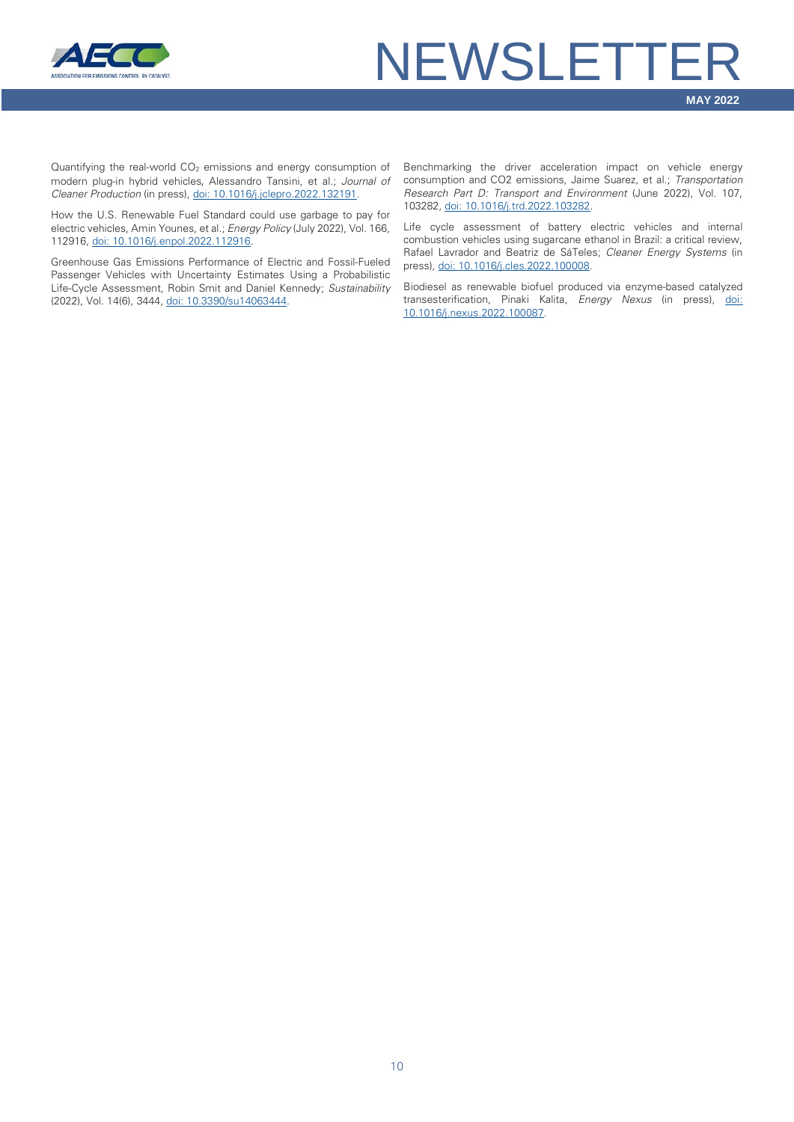

Quantifying the real-world CO<sub>2</sub> emissions and energy consumption of modern plug-in hybrid vehicles, Alessandro Tansini, et al.; *Journal of Cleaner Production* (in press), [doi: 10.1016/j.jclepro.2022.132191.](https://doi.org/10.1016/j.jclepro.2022.132191)

How the U.S. Renewable Fuel Standard could use garbage to pay for electric vehicles, Amin Younes, et al.; *Energy Policy* (July 2022), Vol. 166, 112916[, doi: 10.1016/j.enpol.2022.112916.](https://doi.org/10.1016/j.enpol.2022.112916)

Greenhouse Gas Emissions Performance of Electric and Fossil-Fueled Passenger Vehicles with Uncertainty Estimates Using a Probabilistic Life-Cycle Assessment, Robin Smit and Daniel Kennedy; *Sustainability* (2022), Vol. 14(6), 3444, [doi: 10.3390/su14063444.](https://doi.org/10.3390/su14063444)

Benchmarking the driver acceleration impact on vehicle energy consumption and CO2 emissions, Jaime Suarez, et al.; *Transportation Research Part D: Transport and Environment* (June 2022), Vol. 107, 103282[, doi: 10.1016/j.trd.2022.103282.](https://doi.org/10.1016/j.trd.2022.103282)

Life cycle assessment of battery electric vehicles and internal combustion vehicles using sugarcane ethanol in Brazil: a critical review, Rafael Lavrador and Beatriz de SáTeles; *Cleaner Energy Systems* (in press), [doi: 10.1016/j.cles.2022.100008.](https://doi.org/10.1016/j.cles.2022.100008)

Biodiesel as renewable biofuel produced via enzyme-based catalyzed transesterification, Pinaki Kalita, *Energy Nexus* (in press), [doi:](https://doi.org/10.1016/j.nexus.2022.100087)  [10.1016/j.nexus.2022.100087.](https://doi.org/10.1016/j.nexus.2022.100087)